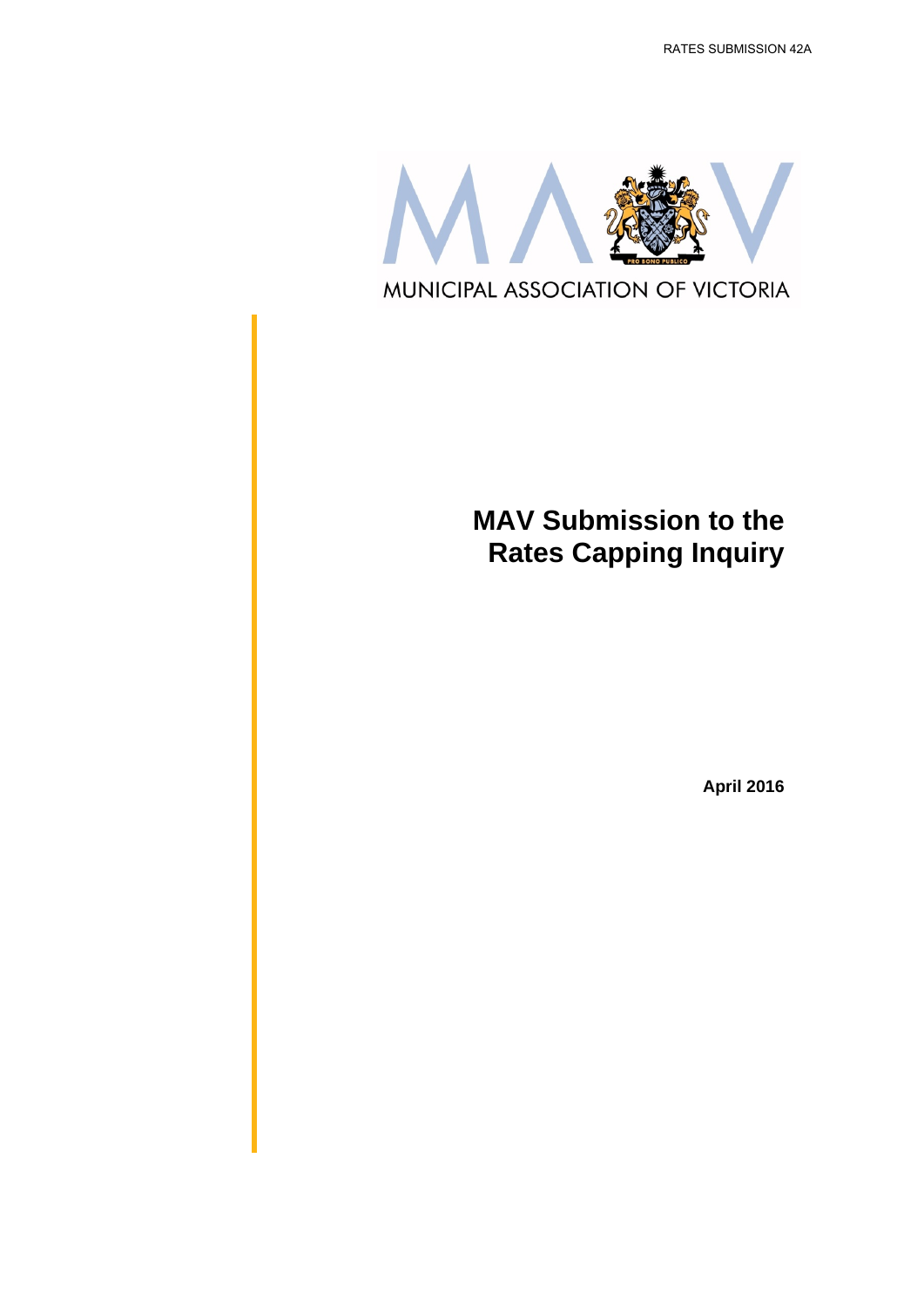RATES SUBMISSION 42A



## **MAV Submission to the Rates Capping Inquiry**

**April 2016**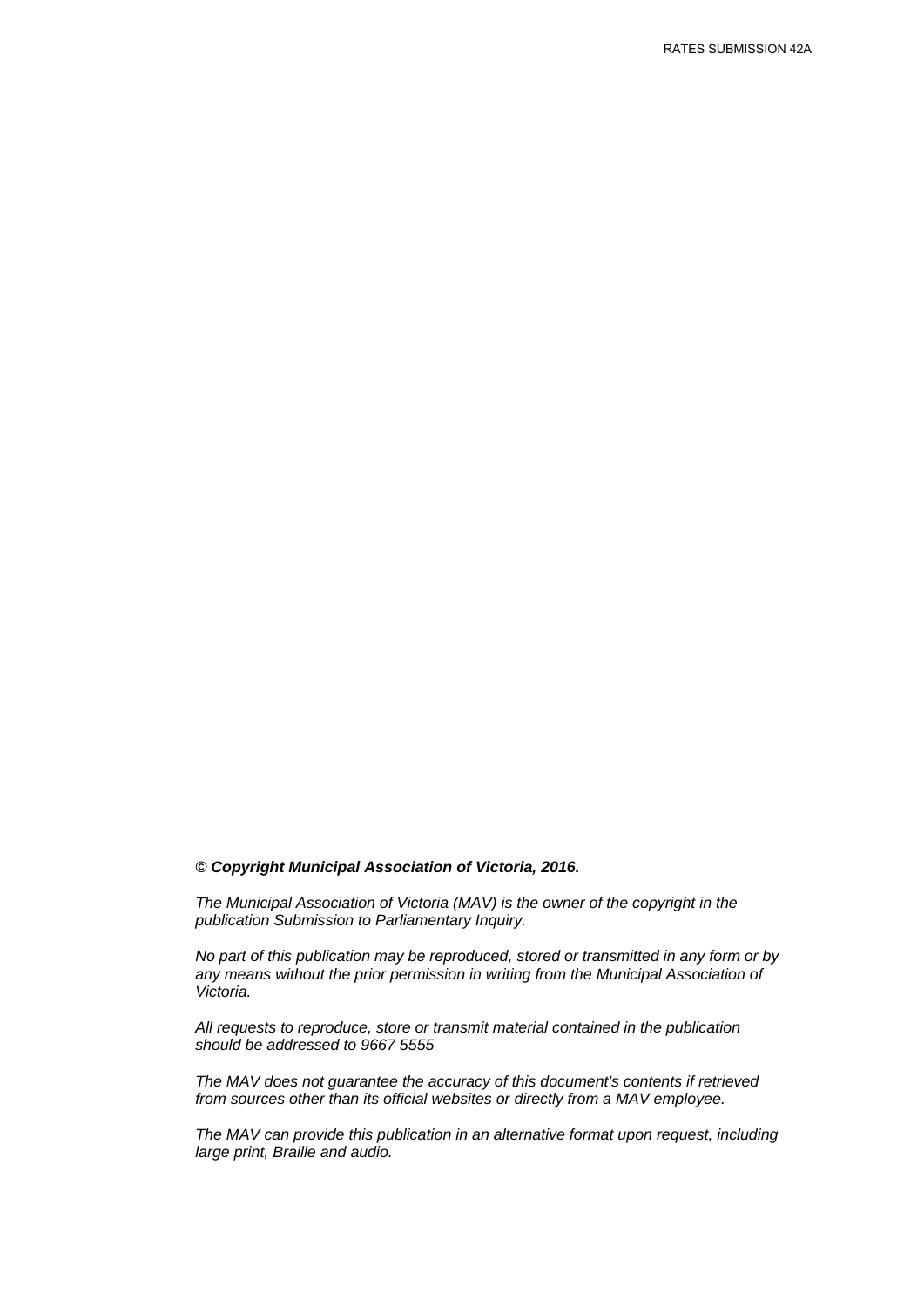#### *© Copyright Municipal Association of Victoria, 2016.*

*The Municipal Association of Victoria (MAV) is the owner of the copyright in the publication Submission to Parliamentary Inquiry.* 

*No part of this publication may be reproduced, stored or transmitted in any form or by any means without the prior permission in writing from the Municipal Association of Victoria.* 

*All requests to reproduce, store or transmit material contained in the publication should be addressed to 9667 5555* 

*The MAV does not guarantee the accuracy of this document's contents if retrieved from sources other than its official websites or directly from a MAV employee.*

*The MAV can provide this publication in an alternative format upon request, including large print, Braille and audio.*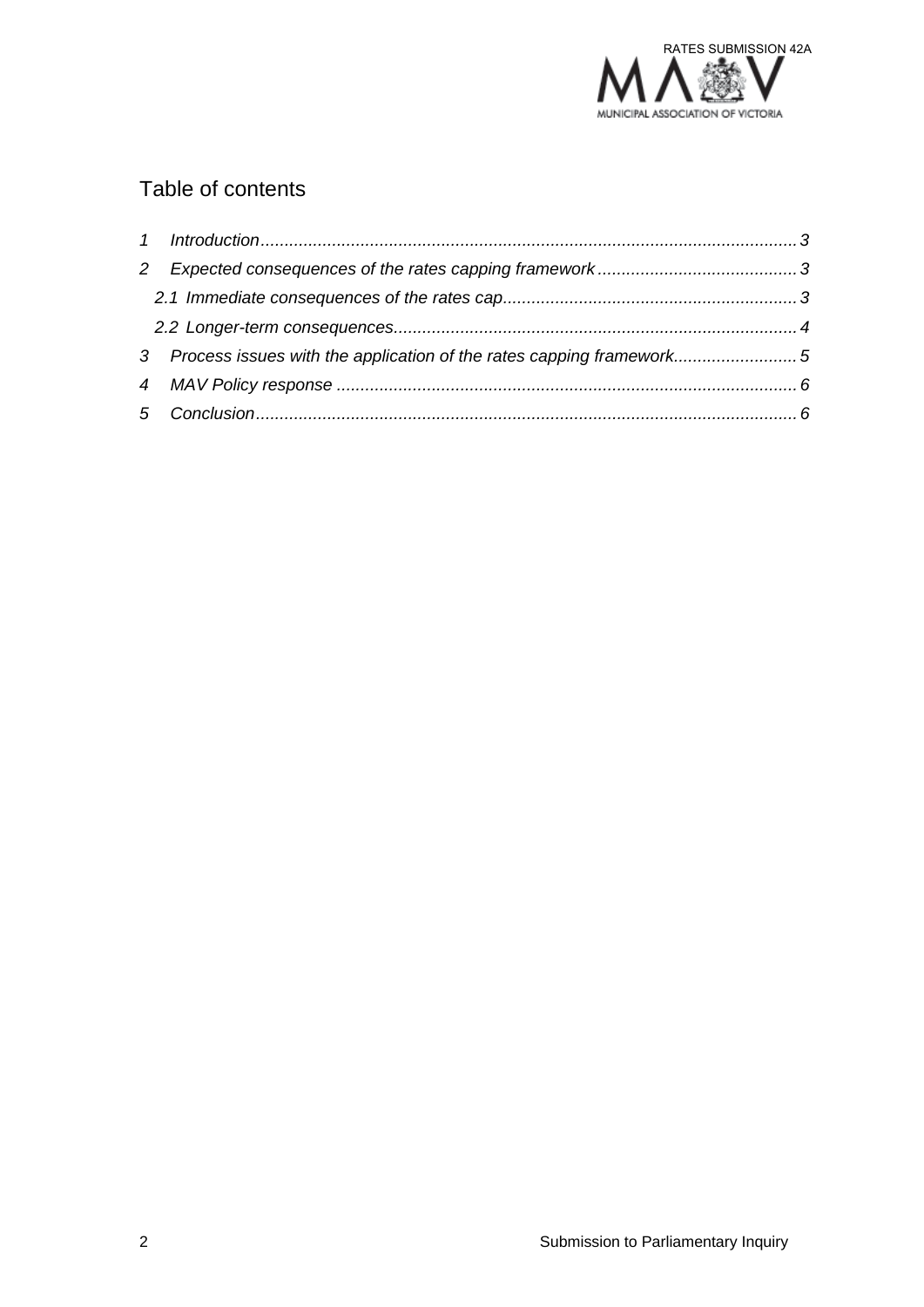

### Table of contents

| 2                                                                     |  |
|-----------------------------------------------------------------------|--|
|                                                                       |  |
|                                                                       |  |
| 3 Process issues with the application of the rates capping framework5 |  |
|                                                                       |  |
|                                                                       |  |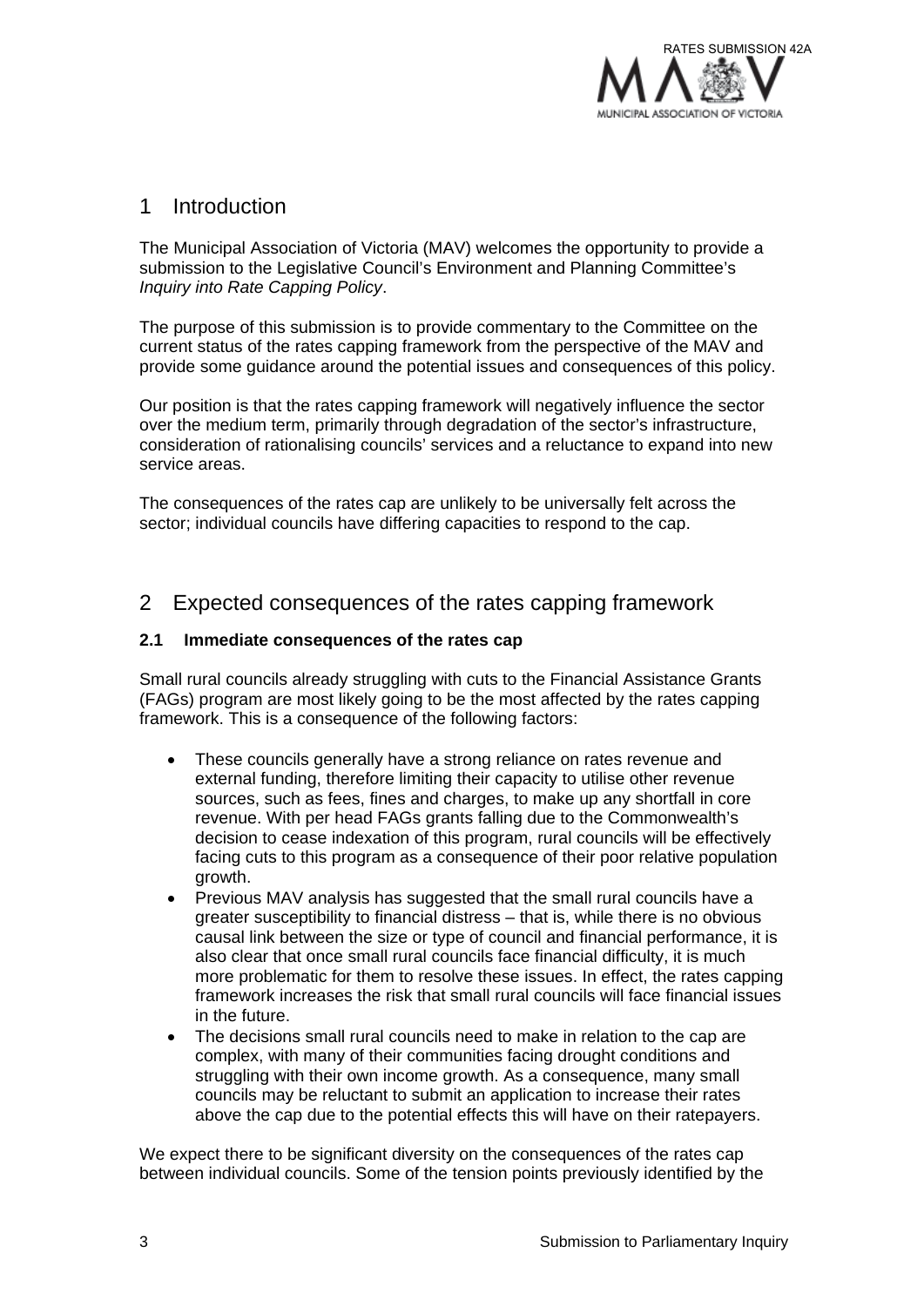

#### 1 Introduction

The Municipal Association of Victoria (MAV) welcomes the opportunity to provide a submission to the Legislative Council's Environment and Planning Committee's *Inquiry into Rate Capping Policy*.

The purpose of this submission is to provide commentary to the Committee on the current status of the rates capping framework from the perspective of the MAV and provide some guidance around the potential issues and consequences of this policy.

Our position is that the rates capping framework will negatively influence the sector over the medium term, primarily through degradation of the sector's infrastructure, consideration of rationalising councils' services and a reluctance to expand into new service areas.

The consequences of the rates cap are unlikely to be universally felt across the sector; individual councils have differing capacities to respond to the cap.

#### 2 Expected consequences of the rates capping framework

#### **2.1 Immediate consequences of the rates cap**

Small rural councils already struggling with cuts to the Financial Assistance Grants (FAGs) program are most likely going to be the most affected by the rates capping framework. This is a consequence of the following factors:

- These councils generally have a strong reliance on rates revenue and external funding, therefore limiting their capacity to utilise other revenue sources, such as fees, fines and charges, to make up any shortfall in core revenue. With per head FAGs grants falling due to the Commonwealth's decision to cease indexation of this program, rural councils will be effectively facing cuts to this program as a consequence of their poor relative population growth.
- Previous MAV analysis has suggested that the small rural councils have a greater susceptibility to financial distress – that is, while there is no obvious causal link between the size or type of council and financial performance, it is also clear that once small rural councils face financial difficulty, it is much more problematic for them to resolve these issues. In effect, the rates capping framework increases the risk that small rural councils will face financial issues in the future.
- The decisions small rural councils need to make in relation to the cap are complex, with many of their communities facing drought conditions and struggling with their own income growth. As a consequence, many small councils may be reluctant to submit an application to increase their rates above the cap due to the potential effects this will have on their ratepayers.

We expect there to be significant diversity on the consequences of the rates cap between individual councils. Some of the tension points previously identified by the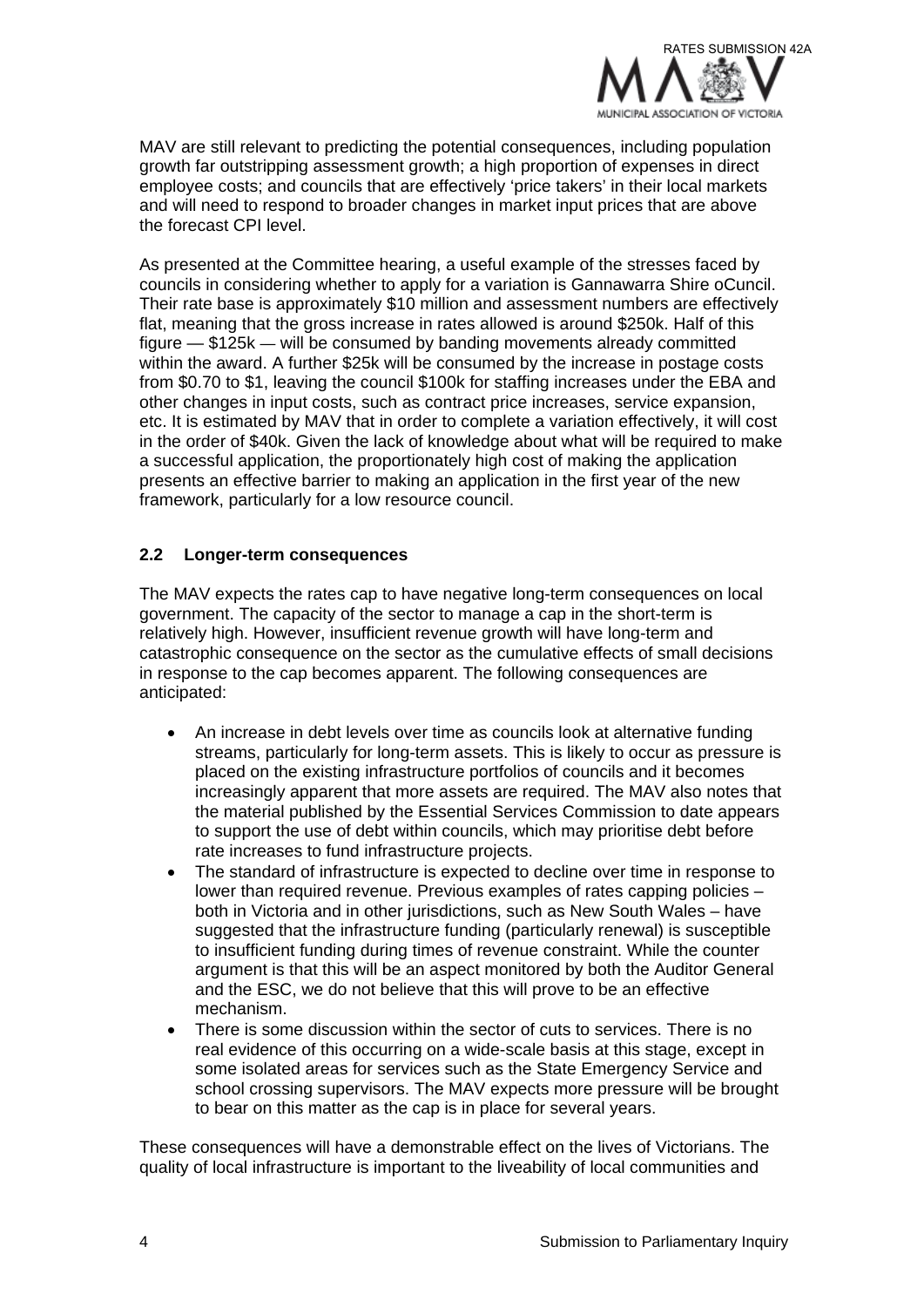

MAV are still relevant to predicting the potential consequences, including population growth far outstripping assessment growth; a high proportion of expenses in direct employee costs; and councils that are effectively 'price takers' in their local markets and will need to respond to broader changes in market input prices that are above the forecast CPI level.

As presented at the Committee hearing, a useful example of the stresses faced by councils in considering whether to apply for a variation is Gannawarra Shire oCuncil. Their rate base is approximately \$10 million and assessment numbers are effectively flat, meaning that the gross increase in rates allowed is around \$250k. Half of this figure — \$125k — will be consumed by banding movements already committed within the award. A further \$25k will be consumed by the increase in postage costs from \$0.70 to \$1, leaving the council \$100k for staffing increases under the EBA and other changes in input costs, such as contract price increases, service expansion, etc. It is estimated by MAV that in order to complete a variation effectively, it will cost in the order of \$40k. Given the lack of knowledge about what will be required to make a successful application, the proportionately high cost of making the application presents an effective barrier to making an application in the first year of the new framework, particularly for a low resource council.

#### **2.2 Longer-term consequences**

The MAV expects the rates cap to have negative long-term consequences on local government. The capacity of the sector to manage a cap in the short-term is relatively high. However, insufficient revenue growth will have long-term and catastrophic consequence on the sector as the cumulative effects of small decisions in response to the cap becomes apparent. The following consequences are anticipated:

- An increase in debt levels over time as councils look at alternative funding streams, particularly for long-term assets. This is likely to occur as pressure is placed on the existing infrastructure portfolios of councils and it becomes increasingly apparent that more assets are required. The MAV also notes that the material published by the Essential Services Commission to date appears to support the use of debt within councils, which may prioritise debt before rate increases to fund infrastructure projects.
- The standard of infrastructure is expected to decline over time in response to lower than required revenue. Previous examples of rates capping policies – both in Victoria and in other jurisdictions, such as New South Wales – have suggested that the infrastructure funding (particularly renewal) is susceptible to insufficient funding during times of revenue constraint. While the counter argument is that this will be an aspect monitored by both the Auditor General and the ESC, we do not believe that this will prove to be an effective mechanism.
- There is some discussion within the sector of cuts to services. There is no real evidence of this occurring on a wide-scale basis at this stage, except in some isolated areas for services such as the State Emergency Service and school crossing supervisors. The MAV expects more pressure will be brought to bear on this matter as the cap is in place for several years.

These consequences will have a demonstrable effect on the lives of Victorians. The quality of local infrastructure is important to the liveability of local communities and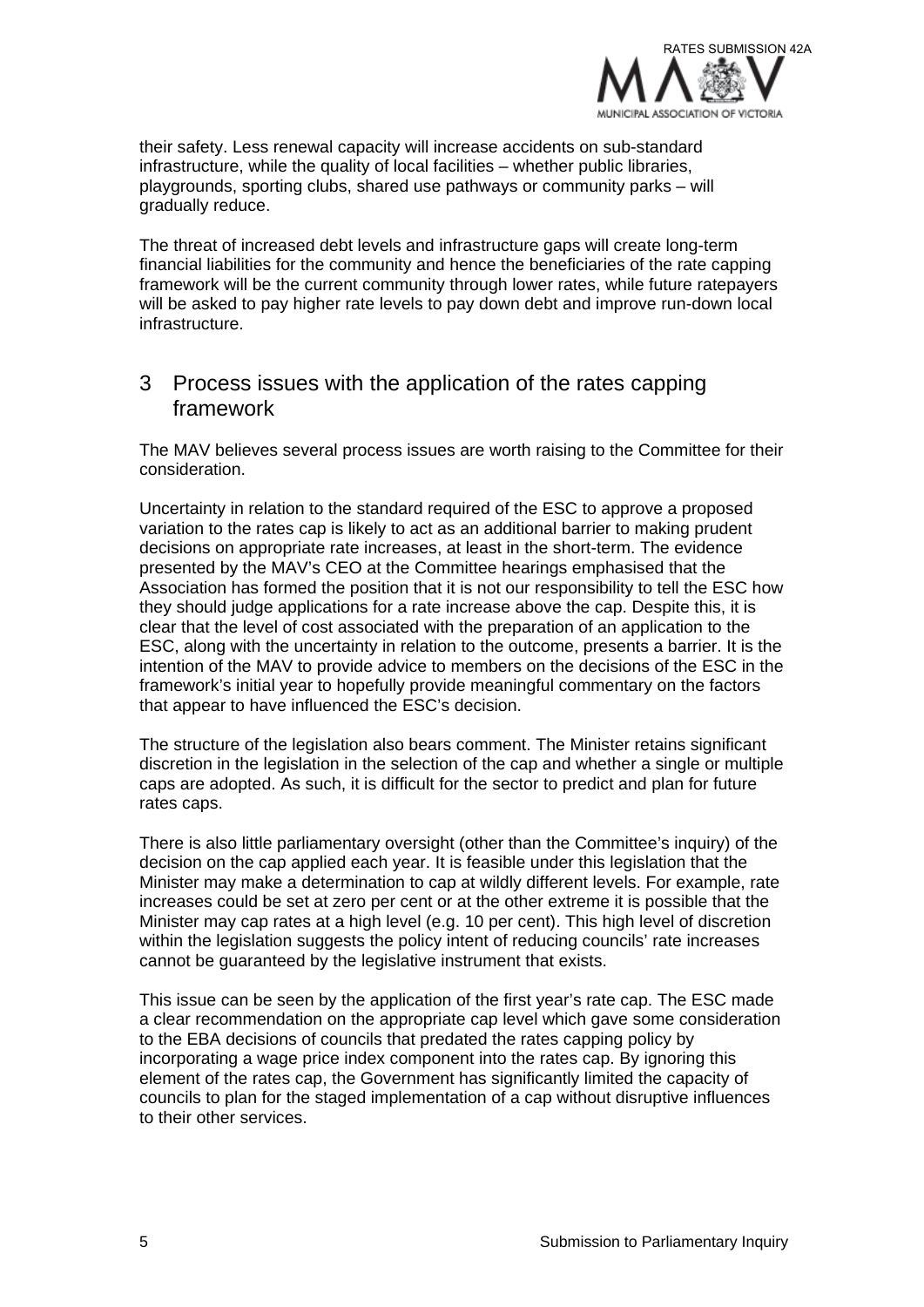

their safety. Less renewal capacity will increase accidents on sub-standard infrastructure, while the quality of local facilities – whether public libraries, playgrounds, sporting clubs, shared use pathways or community parks – will gradually reduce.

The threat of increased debt levels and infrastructure gaps will create long-term financial liabilities for the community and hence the beneficiaries of the rate capping framework will be the current community through lower rates, while future ratepayers will be asked to pay higher rate levels to pay down debt and improve run-down local infrastructure.

#### 3 Process issues with the application of the rates capping framework

The MAV believes several process issues are worth raising to the Committee for their consideration.

Uncertainty in relation to the standard required of the ESC to approve a proposed variation to the rates cap is likely to act as an additional barrier to making prudent decisions on appropriate rate increases, at least in the short-term. The evidence presented by the MAV's CEO at the Committee hearings emphasised that the Association has formed the position that it is not our responsibility to tell the ESC how they should judge applications for a rate increase above the cap. Despite this, it is clear that the level of cost associated with the preparation of an application to the ESC, along with the uncertainty in relation to the outcome, presents a barrier. It is the intention of the MAV to provide advice to members on the decisions of the ESC in the framework's initial year to hopefully provide meaningful commentary on the factors that appear to have influenced the ESC's decision.

The structure of the legislation also bears comment. The Minister retains significant discretion in the legislation in the selection of the cap and whether a single or multiple caps are adopted. As such, it is difficult for the sector to predict and plan for future rates caps.

There is also little parliamentary oversight (other than the Committee's inquiry) of the decision on the cap applied each year. It is feasible under this legislation that the Minister may make a determination to cap at wildly different levels. For example, rate increases could be set at zero per cent or at the other extreme it is possible that the Minister may cap rates at a high level (e.g. 10 per cent). This high level of discretion within the legislation suggests the policy intent of reducing councils' rate increases cannot be guaranteed by the legislative instrument that exists.

This issue can be seen by the application of the first year's rate cap. The ESC made a clear recommendation on the appropriate cap level which gave some consideration to the EBA decisions of councils that predated the rates capping policy by incorporating a wage price index component into the rates cap. By ignoring this element of the rates cap, the Government has significantly limited the capacity of councils to plan for the staged implementation of a cap without disruptive influences to their other services.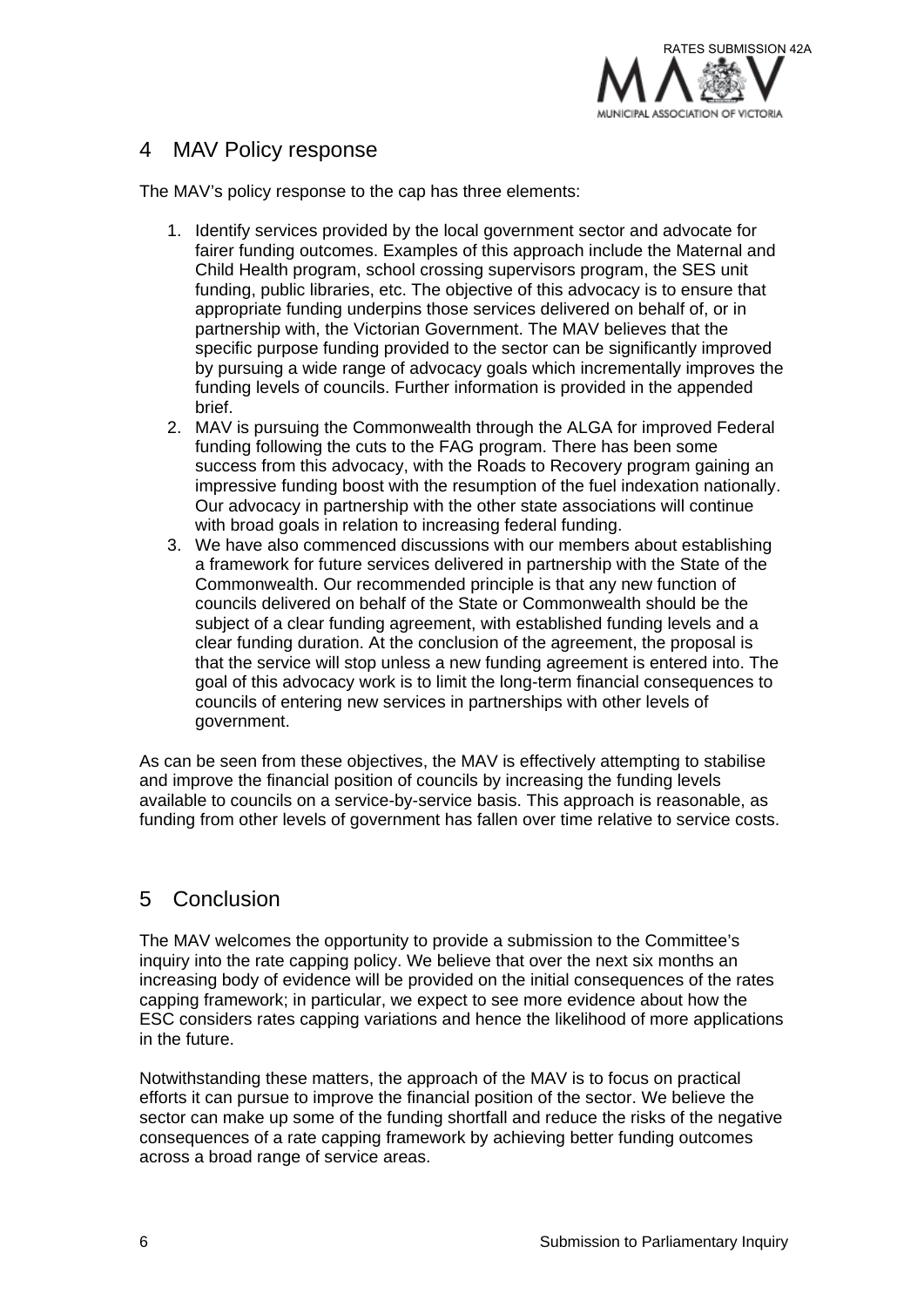

### 4 MAV Policy response

The MAV's policy response to the cap has three elements:

- 1. Identify services provided by the local government sector and advocate for fairer funding outcomes. Examples of this approach include the Maternal and Child Health program, school crossing supervisors program, the SES unit funding, public libraries, etc. The objective of this advocacy is to ensure that appropriate funding underpins those services delivered on behalf of, or in partnership with, the Victorian Government. The MAV believes that the specific purpose funding provided to the sector can be significantly improved by pursuing a wide range of advocacy goals which incrementally improves the funding levels of councils. Further information is provided in the appended brief.
- 2. MAV is pursuing the Commonwealth through the ALGA for improved Federal funding following the cuts to the FAG program. There has been some success from this advocacy, with the Roads to Recovery program gaining an impressive funding boost with the resumption of the fuel indexation nationally. Our advocacy in partnership with the other state associations will continue with broad goals in relation to increasing federal funding.
- 3. We have also commenced discussions with our members about establishing a framework for future services delivered in partnership with the State of the Commonwealth. Our recommended principle is that any new function of councils delivered on behalf of the State or Commonwealth should be the subject of a clear funding agreement, with established funding levels and a clear funding duration. At the conclusion of the agreement, the proposal is that the service will stop unless a new funding agreement is entered into. The goal of this advocacy work is to limit the long-term financial consequences to councils of entering new services in partnerships with other levels of government.

As can be seen from these objectives, the MAV is effectively attempting to stabilise and improve the financial position of councils by increasing the funding levels available to councils on a service-by-service basis. This approach is reasonable, as funding from other levels of government has fallen over time relative to service costs.

### 5 Conclusion

The MAV welcomes the opportunity to provide a submission to the Committee's inquiry into the rate capping policy. We believe that over the next six months an increasing body of evidence will be provided on the initial consequences of the rates capping framework; in particular, we expect to see more evidence about how the ESC considers rates capping variations and hence the likelihood of more applications in the future.

Notwithstanding these matters, the approach of the MAV is to focus on practical efforts it can pursue to improve the financial position of the sector. We believe the sector can make up some of the funding shortfall and reduce the risks of the negative consequences of a rate capping framework by achieving better funding outcomes across a broad range of service areas.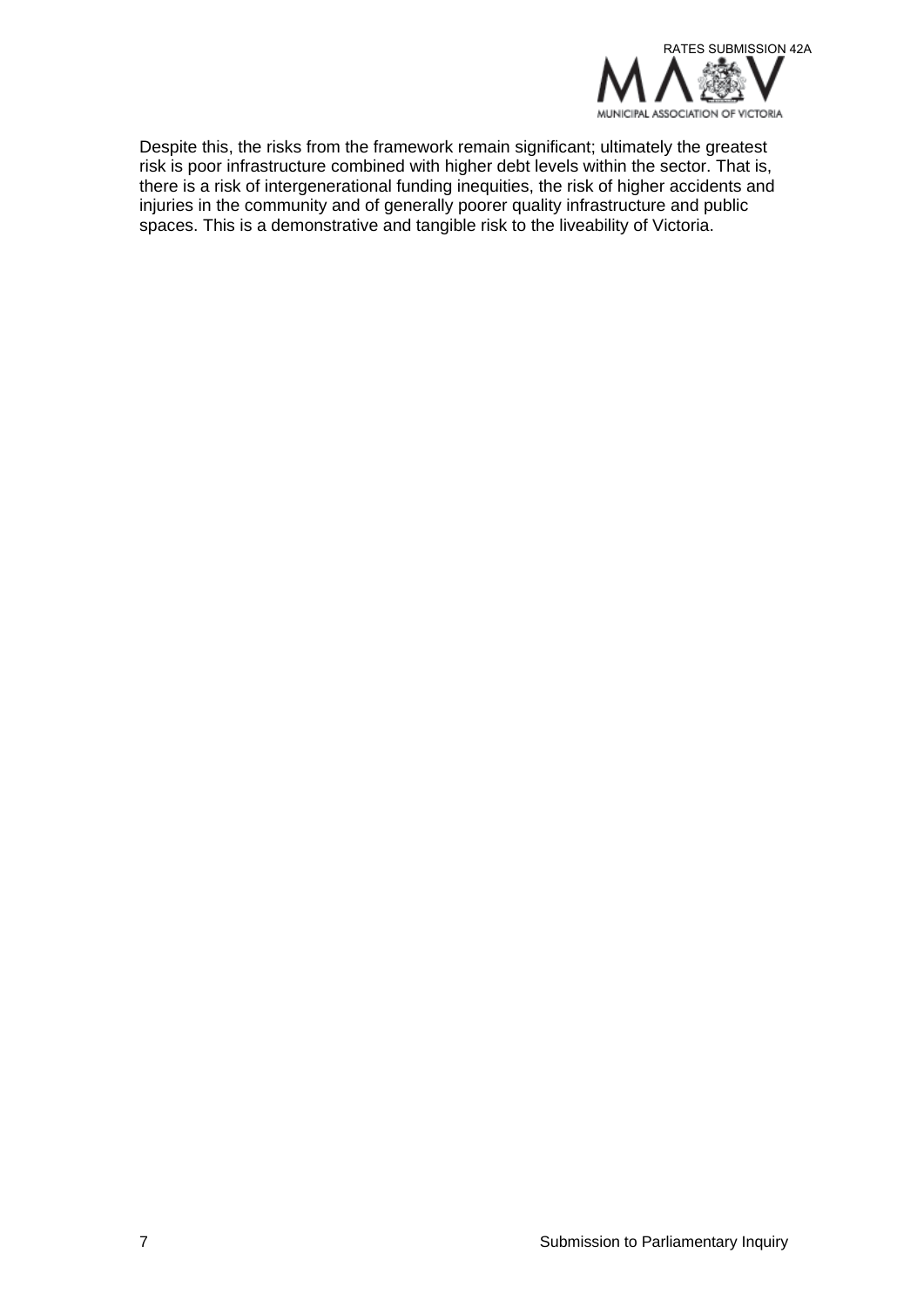

Despite this, the risks from the framework remain significant; ultimately the greatest risk is poor infrastructure combined with higher debt levels within the sector. That is, there is a risk of intergenerational funding inequities, the risk of higher accidents and injuries in the community and of generally poorer quality infrastructure and public spaces. This is a demonstrative and tangible risk to the liveability of Victoria.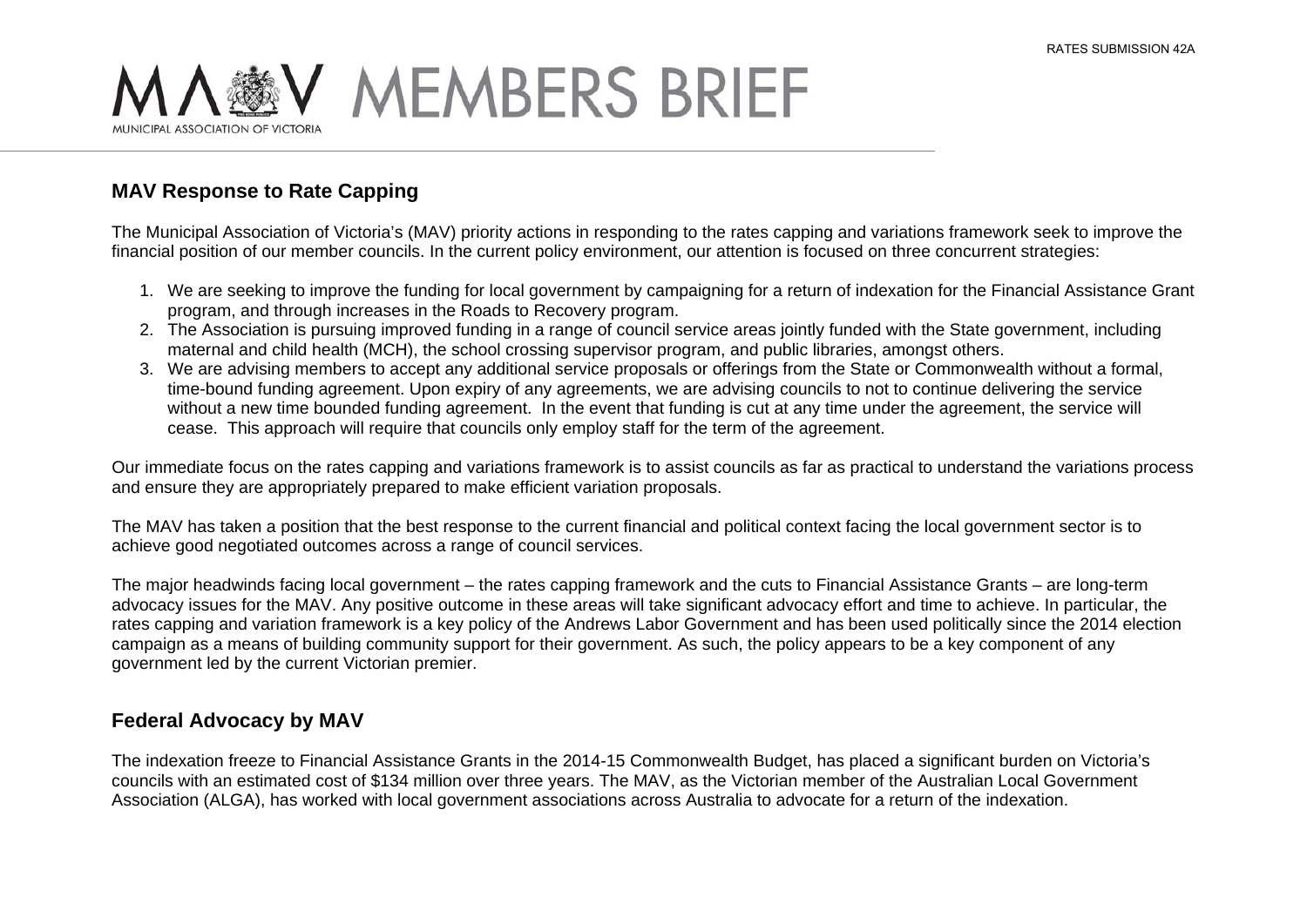

### **MAV Response to Rate Capping**

The Municipal Association of Victoria's (MAV) priority actions in responding to the rates capping and variations framework seek to improve the financial position of our member councils. In the current policy environment, our attention is focused on three concurrent strategies:

- 1. We are seeking to improve the funding for local government by campaigning for a return of indexation for the Financial Assistance Grant program, and through increases in the Roads to Recovery program.
- 2. The Association is pursuing improved funding in a range of council service areas jointly funded with the State government, including maternal and child health (MCH), the school crossing supervisor program, and public libraries, amongst others.
- 3. We are advising members to accept any additional service proposals or offerings from the State or Commonwealth without a formal, time-bound funding agreement. Upon expiry of any agreements, we are advising councils to not to continue delivering the service without a new time bounded funding agreement. In the event that funding is cut at any time under the agreement, the service will cease. This approach will require that councils only employ staff for the term of the agreement.

Our immediate focus on the rates capping and variations framework is to assist councils as far as practical to understand the variations process and ensure they are appropriately prepared to make efficient variation proposals.

The MAV has taken a position that the best response to the current financial and political context facing the local government sector is to achieve good negotiated outcomes across a range of council services.

The major headwinds facing local government – the rates capping framework and the cuts to Financial Assistance Grants – are long-term advocacy issues for the MAV. Any positive outcome in these areas will take significant advocacy effort and time to achieve. In particular, the rates capping and variation framework is a key policy of the Andrews Labor Government and has been used politically since the 2014 election campaign as a means of building community support for their government. As such, the policy appears to be a key component of any government led by the current Victorian premier.

#### **Federal Advocacy by MAV**

The indexation freeze to Financial Assistance Grants in the 2014-15 Commonwealth Budget, has placed a significant burden on Victoria's councils with an estimated cost of \$134 million over three years. The MAV, as the Victorian member of the Australian Local Government Association (ALGA), has worked with local government associations across Australia to advocate for a return of the indexation.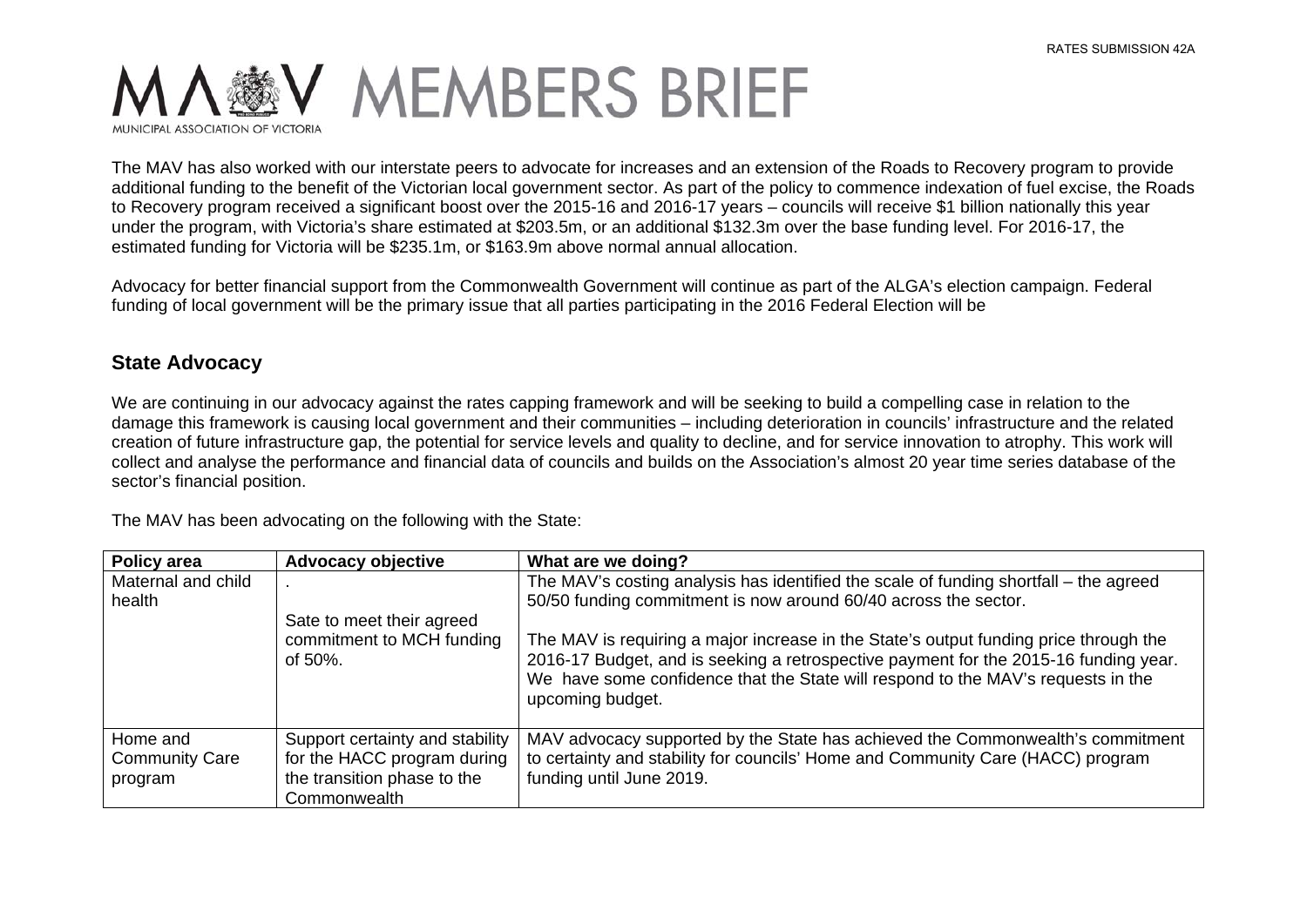

The MAV has also worked with our interstate peers to advocate for increases and an extension of the Roads to Recovery program to provide additional funding to the benefit of the Victorian local government sector. As part of the policy to commence indexation of fuel excise, the Roads to Recovery program received a significant boost over the 2015-16 and 2016-17 years – councils will receive \$1 billion nationally this year under the program, with Victoria's share estimated at \$203.5m, or an additional \$132.3m over the base funding level. For 2016-17, the estimated funding for Victoria will be \$235.1m, or \$163.9m above normal annual allocation.

Advocacy for better financial support from the Commonwealth Government will continue as part of the ALGA's election campaign. Federal funding of local government will be the primary issue that all parties participating in the 2016 Federal Election will be

#### **State Advocacy**

We are continuing in our advocacy against the rates capping framework and will be seeking to build a compelling case in relation to the damage this framework is causing local government and their communities – including deterioration in councils' infrastructure and the related creation of future infrastructure gap, the potential for service levels and quality to decline, and for service innovation to atrophy. This work will collect and analyse the performance and financial data of councils and builds on the Association's almost 20 year time series database of the sector's financial position.

The MAV has been advocating on the following with the State:

| Policy area                                  | <b>Advocacy objective</b>                                                                                     | What are we doing?                                                                                                                                                                                                                                                                    |
|----------------------------------------------|---------------------------------------------------------------------------------------------------------------|---------------------------------------------------------------------------------------------------------------------------------------------------------------------------------------------------------------------------------------------------------------------------------------|
| Maternal and child<br>health                 | Sate to meet their agreed                                                                                     | The MAV's costing analysis has identified the scale of funding shortfall – the agreed<br>50/50 funding commitment is now around 60/40 across the sector.                                                                                                                              |
|                                              | commitment to MCH funding<br>of $50\%$ .                                                                      | The MAV is requiring a major increase in the State's output funding price through the<br>2016-17 Budget, and is seeking a retrospective payment for the 2015-16 funding year.<br>We have some confidence that the State will respond to the MAV's requests in the<br>upcoming budget. |
| Home and<br><b>Community Care</b><br>program | Support certainty and stability<br>for the HACC program during<br>the transition phase to the<br>Commonwealth | MAV advocacy supported by the State has achieved the Commonwealth's commitment<br>to certainty and stability for councils' Home and Community Care (HACC) program<br>funding until June 2019.                                                                                         |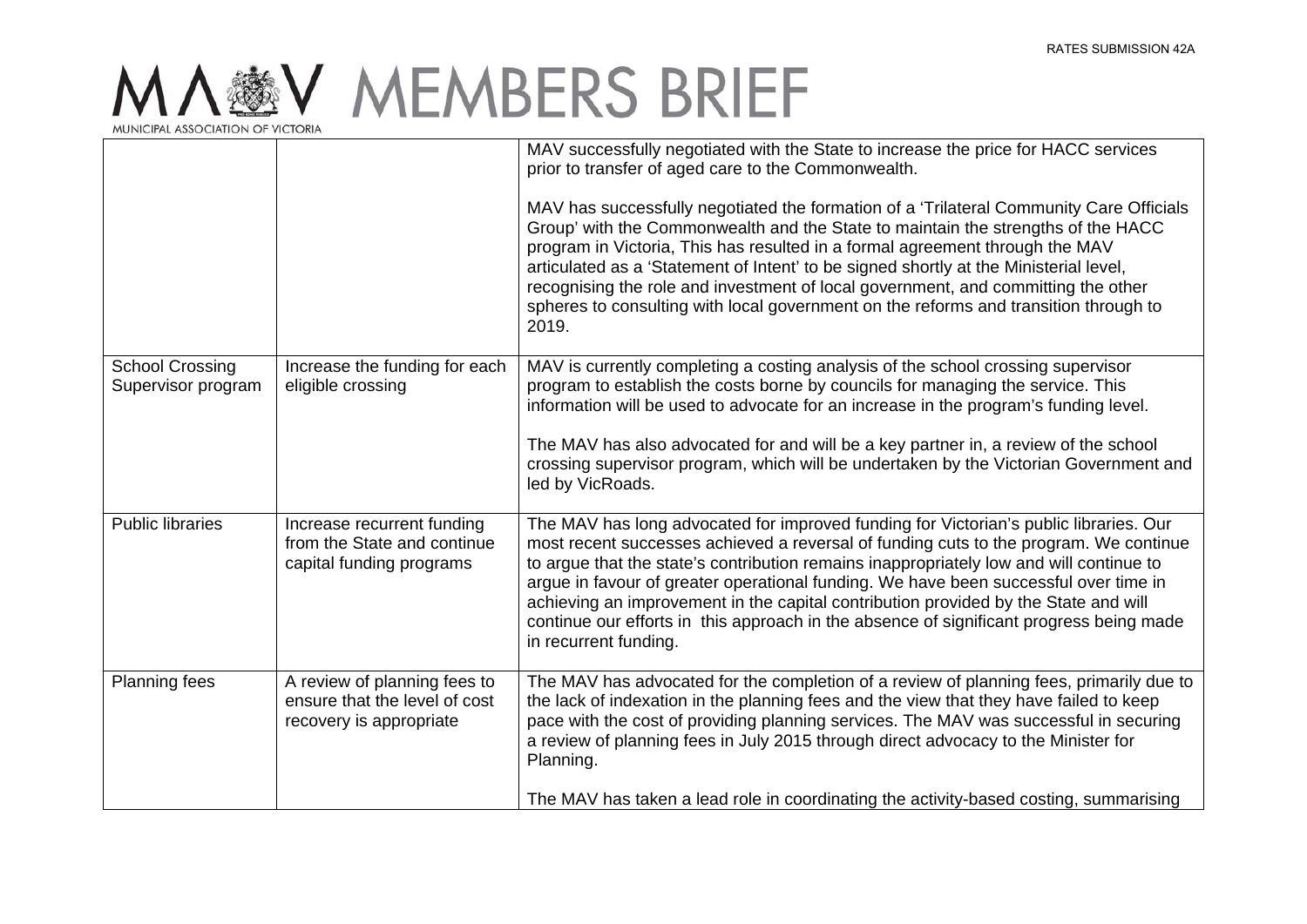|                                              |                                                                                          | MAV successfully negotiated with the State to increase the price for HACC services<br>prior to transfer of aged care to the Commonwealth.<br>MAV has successfully negotiated the formation of a 'Trilateral Community Care Officials<br>Group' with the Commonwealth and the State to maintain the strengths of the HACC<br>program in Victoria, This has resulted in a formal agreement through the MAV<br>articulated as a 'Statement of Intent' to be signed shortly at the Ministerial level,<br>recognising the role and investment of local government, and committing the other<br>spheres to consulting with local government on the reforms and transition through to<br>2019. |
|----------------------------------------------|------------------------------------------------------------------------------------------|-----------------------------------------------------------------------------------------------------------------------------------------------------------------------------------------------------------------------------------------------------------------------------------------------------------------------------------------------------------------------------------------------------------------------------------------------------------------------------------------------------------------------------------------------------------------------------------------------------------------------------------------------------------------------------------------|
| <b>School Crossing</b><br>Supervisor program | Increase the funding for each<br>eligible crossing                                       | MAV is currently completing a costing analysis of the school crossing supervisor<br>program to establish the costs borne by councils for managing the service. This<br>information will be used to advocate for an increase in the program's funding level.<br>The MAV has also advocated for and will be a key partner in, a review of the school<br>crossing supervisor program, which will be undertaken by the Victorian Government and<br>led by VicRoads.                                                                                                                                                                                                                         |
| <b>Public libraries</b>                      | Increase recurrent funding<br>from the State and continue<br>capital funding programs    | The MAV has long advocated for improved funding for Victorian's public libraries. Our<br>most recent successes achieved a reversal of funding cuts to the program. We continue<br>to argue that the state's contribution remains inappropriately low and will continue to<br>argue in favour of greater operational funding. We have been successful over time in<br>achieving an improvement in the capital contribution provided by the State and will<br>continue our efforts in this approach in the absence of significant progress being made<br>in recurrent funding.                                                                                                            |
| <b>Planning fees</b>                         | A review of planning fees to<br>ensure that the level of cost<br>recovery is appropriate | The MAV has advocated for the completion of a review of planning fees, primarily due to<br>the lack of indexation in the planning fees and the view that they have failed to keep<br>pace with the cost of providing planning services. The MAV was successful in securing<br>a review of planning fees in July 2015 through direct advocacy to the Minister for<br>Planning.<br>The MAV has taken a lead role in coordinating the activity-based costing, summarising                                                                                                                                                                                                                  |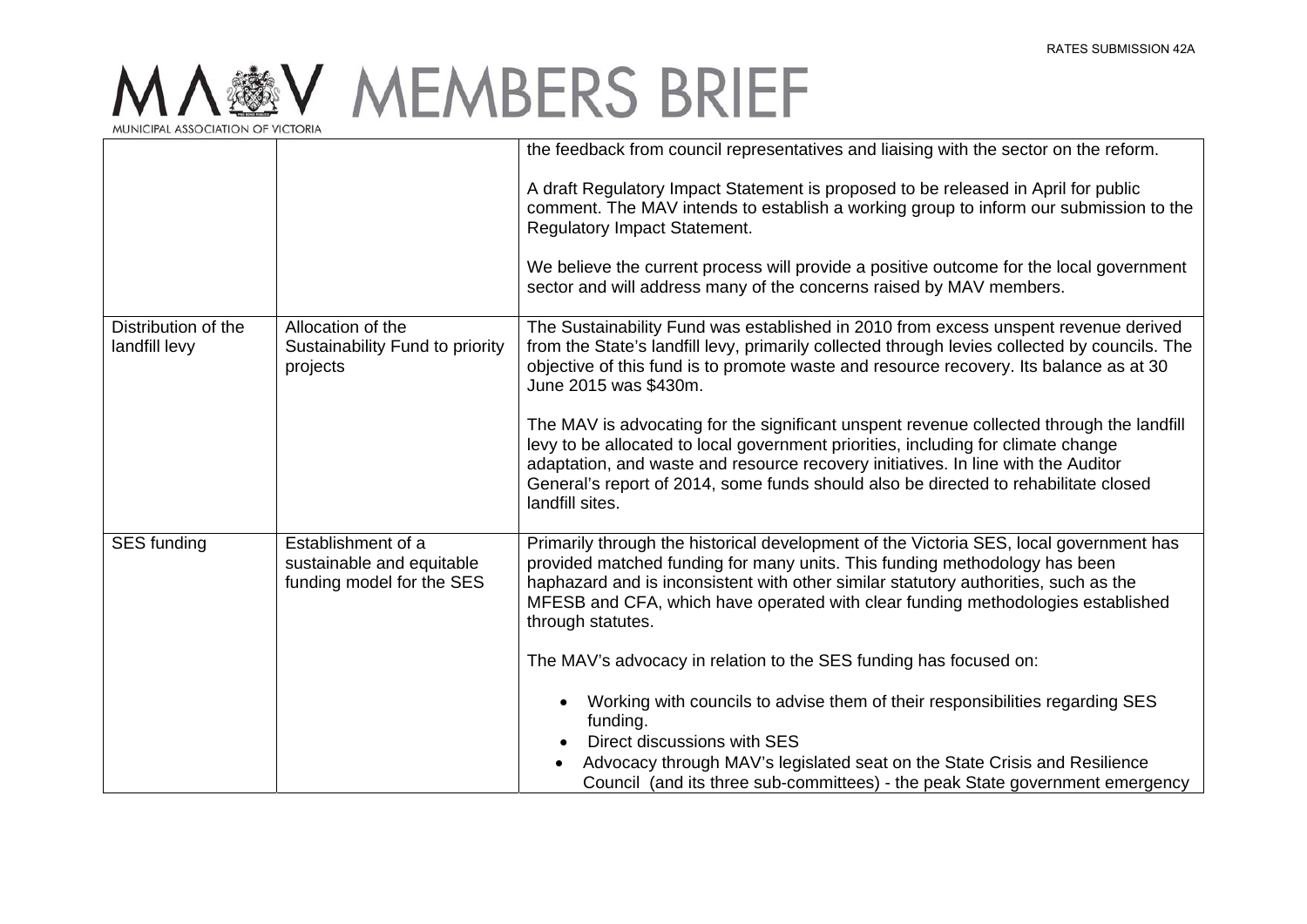|                                      |                                                                              | the feedback from council representatives and liaising with the sector on the reform.                                                                                                                                                                                                                                                                                        |
|--------------------------------------|------------------------------------------------------------------------------|------------------------------------------------------------------------------------------------------------------------------------------------------------------------------------------------------------------------------------------------------------------------------------------------------------------------------------------------------------------------------|
|                                      |                                                                              | A draft Regulatory Impact Statement is proposed to be released in April for public<br>comment. The MAV intends to establish a working group to inform our submission to the<br>Regulatory Impact Statement.                                                                                                                                                                  |
|                                      |                                                                              | We believe the current process will provide a positive outcome for the local government<br>sector and will address many of the concerns raised by MAV members.                                                                                                                                                                                                               |
| Distribution of the<br>landfill levy | Allocation of the<br>Sustainability Fund to priority<br>projects             | The Sustainability Fund was established in 2010 from excess unspent revenue derived<br>from the State's landfill levy, primarily collected through levies collected by councils. The<br>objective of this fund is to promote waste and resource recovery. Its balance as at 30<br>June 2015 was \$430m.                                                                      |
|                                      |                                                                              | The MAV is advocating for the significant unspent revenue collected through the landfill<br>levy to be allocated to local government priorities, including for climate change<br>adaptation, and waste and resource recovery initiatives. In line with the Auditor<br>General's report of 2014, some funds should also be directed to rehabilitate closed<br>landfill sites. |
| SES funding                          | Establishment of a<br>sustainable and equitable<br>funding model for the SES | Primarily through the historical development of the Victoria SES, local government has<br>provided matched funding for many units. This funding methodology has been<br>haphazard and is inconsistent with other similar statutory authorities, such as the<br>MFESB and CFA, which have operated with clear funding methodologies established<br>through statutes.          |
|                                      |                                                                              | The MAV's advocacy in relation to the SES funding has focused on:                                                                                                                                                                                                                                                                                                            |
|                                      |                                                                              | Working with councils to advise them of their responsibilities regarding SES<br>$\bullet$<br>funding.<br>Direct discussions with SES                                                                                                                                                                                                                                         |
|                                      |                                                                              | Advocacy through MAV's legislated seat on the State Crisis and Resilience<br>Council (and its three sub-committees) - the peak State government emergency                                                                                                                                                                                                                    |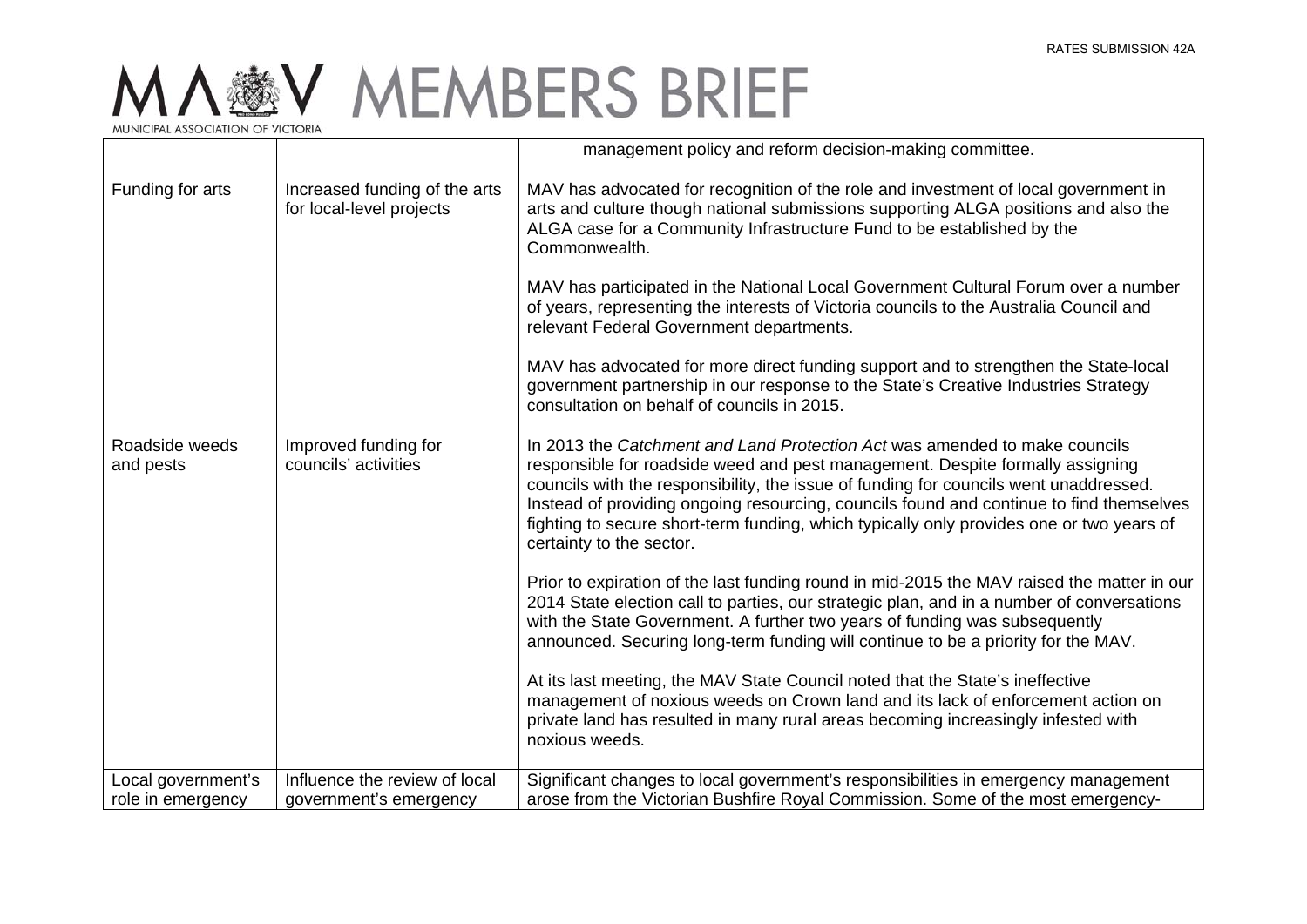|                             |                                                           | management policy and reform decision-making committee.                                                                                                                                                                                                                                                                                                                                                                                                                                                                                                                                                                                                                                                                       |
|-----------------------------|-----------------------------------------------------------|-------------------------------------------------------------------------------------------------------------------------------------------------------------------------------------------------------------------------------------------------------------------------------------------------------------------------------------------------------------------------------------------------------------------------------------------------------------------------------------------------------------------------------------------------------------------------------------------------------------------------------------------------------------------------------------------------------------------------------|
| Funding for arts            | Increased funding of the arts<br>for local-level projects | MAV has advocated for recognition of the role and investment of local government in<br>arts and culture though national submissions supporting ALGA positions and also the<br>ALGA case for a Community Infrastructure Fund to be established by the<br>Commonwealth.<br>MAV has participated in the National Local Government Cultural Forum over a number<br>of years, representing the interests of Victoria councils to the Australia Council and<br>relevant Federal Government departments.<br>MAV has advocated for more direct funding support and to strengthen the State-local<br>government partnership in our response to the State's Creative Industries Strategy<br>consultation on behalf of councils in 2015. |
| Roadside weeds<br>and pests | Improved funding for<br>councils' activities              | In 2013 the Catchment and Land Protection Act was amended to make councils<br>responsible for roadside weed and pest management. Despite formally assigning<br>councils with the responsibility, the issue of funding for councils went unaddressed.<br>Instead of providing ongoing resourcing, councils found and continue to find themselves<br>fighting to secure short-term funding, which typically only provides one or two years of<br>certainty to the sector.                                                                                                                                                                                                                                                       |
|                             |                                                           | Prior to expiration of the last funding round in mid-2015 the MAV raised the matter in our<br>2014 State election call to parties, our strategic plan, and in a number of conversations<br>with the State Government. A further two years of funding was subsequently<br>announced. Securing long-term funding will continue to be a priority for the MAV.<br>At its last meeting, the MAV State Council noted that the State's ineffective<br>management of noxious weeds on Crown land and its lack of enforcement action on<br>private land has resulted in many rural areas becoming increasingly infested with<br>noxious weeds.                                                                                         |
| Local government's          | Influence the review of local                             | Significant changes to local government's responsibilities in emergency management                                                                                                                                                                                                                                                                                                                                                                                                                                                                                                                                                                                                                                            |
| role in emergency           | government's emergency                                    | arose from the Victorian Bushfire Royal Commission. Some of the most emergency-                                                                                                                                                                                                                                                                                                                                                                                                                                                                                                                                                                                                                                               |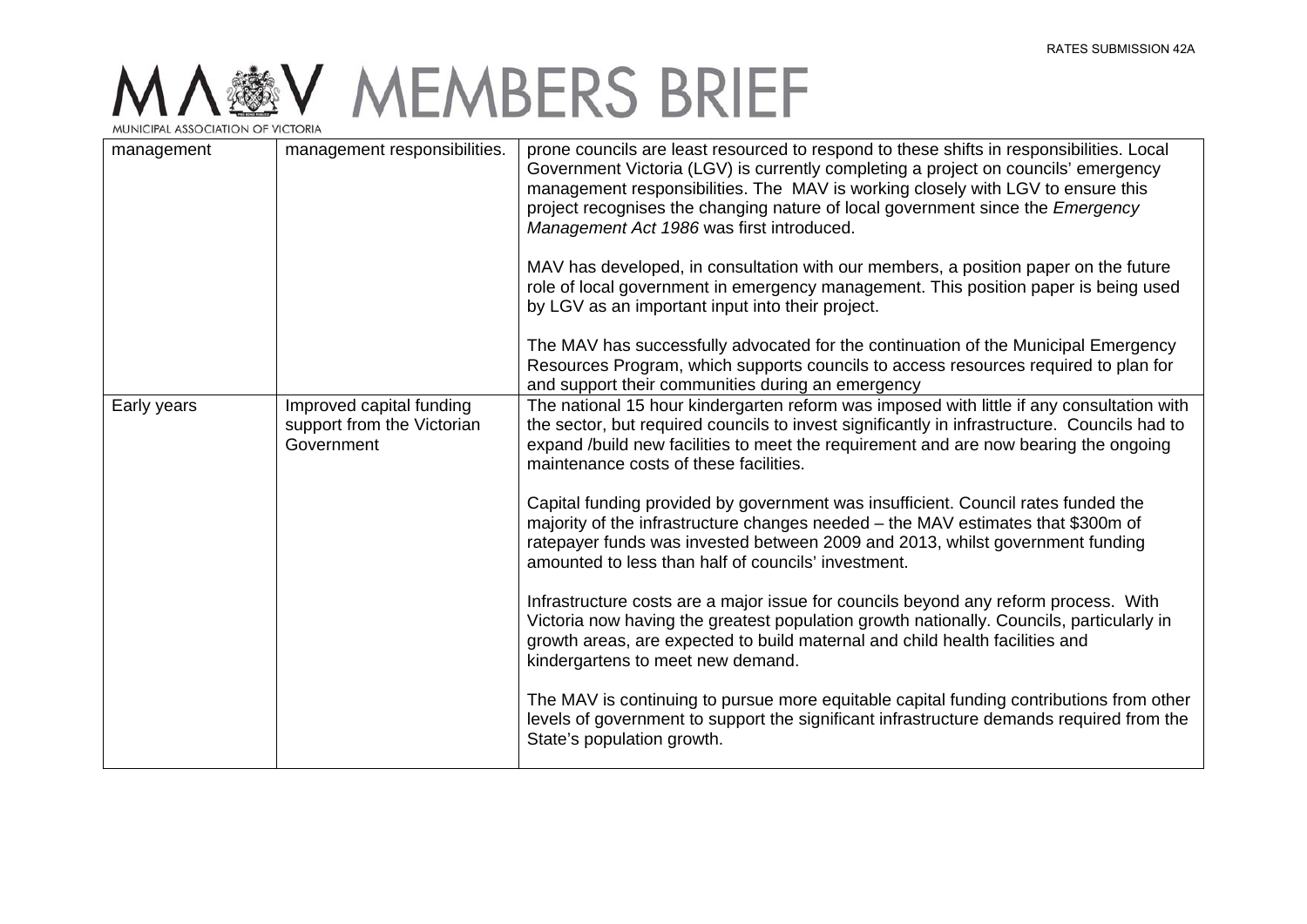| management  | management responsibilities.                                         | prone councils are least resourced to respond to these shifts in responsibilities. Local<br>Government Victoria (LGV) is currently completing a project on councils' emergency<br>management responsibilities. The MAV is working closely with LGV to ensure this<br>project recognises the changing nature of local government since the Emergency<br>Management Act 1986 was first introduced. |
|-------------|----------------------------------------------------------------------|--------------------------------------------------------------------------------------------------------------------------------------------------------------------------------------------------------------------------------------------------------------------------------------------------------------------------------------------------------------------------------------------------|
|             |                                                                      | MAV has developed, in consultation with our members, a position paper on the future<br>role of local government in emergency management. This position paper is being used<br>by LGV as an important input into their project.                                                                                                                                                                   |
|             |                                                                      | The MAV has successfully advocated for the continuation of the Municipal Emergency<br>Resources Program, which supports councils to access resources required to plan for<br>and support their communities during an emergency                                                                                                                                                                   |
| Early years | Improved capital funding<br>support from the Victorian<br>Government | The national 15 hour kindergarten reform was imposed with little if any consultation with<br>the sector, but required councils to invest significantly in infrastructure. Councils had to<br>expand /build new facilities to meet the requirement and are now bearing the ongoing<br>maintenance costs of these facilities.                                                                      |
|             |                                                                      | Capital funding provided by government was insufficient. Council rates funded the<br>majority of the infrastructure changes needed - the MAV estimates that \$300m of<br>ratepayer funds was invested between 2009 and 2013, whilst government funding<br>amounted to less than half of councils' investment.                                                                                    |
|             |                                                                      | Infrastructure costs are a major issue for councils beyond any reform process. With<br>Victoria now having the greatest population growth nationally. Councils, particularly in<br>growth areas, are expected to build maternal and child health facilities and<br>kindergartens to meet new demand.                                                                                             |
|             |                                                                      | The MAV is continuing to pursue more equitable capital funding contributions from other<br>levels of government to support the significant infrastructure demands required from the<br>State's population growth.                                                                                                                                                                                |